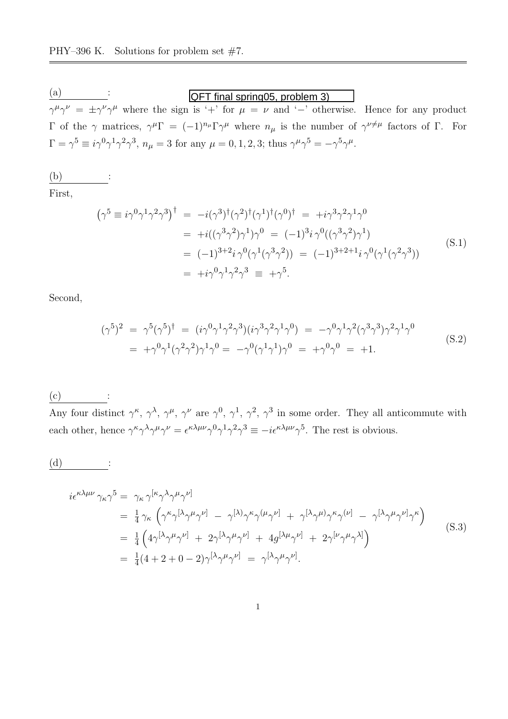$\frac{(a)}{b}$  :  $\gamma^{\mu}\gamma^{\nu} = \pm \gamma^{\nu}\gamma^{\mu}$  where the sign is '+' for  $\mu = \nu$  and '-' otherwise. Hence for any product Γ of the γ matrices,  $γ^{\mu}Γ = (-1)^{n_{\mu}}Γγ^{\mu}$  where  $n_{\mu}$  is the number of  $γ^{\nu ≠ \mu}$  factors of Γ. For  $\Gamma = \gamma^5 \equiv i \gamma^0 \gamma^1 \gamma^2 \gamma^3$ ,  $n_\mu = 3$  for any  $\mu = 0, 1, 2, 3$ ; thus  $\gamma^\mu \gamma^5 = -\gamma^5 \gamma^\mu$ . QFT final spring05, problem 3)

$$
\underbrace{(b)}{}:
$$

First,

$$
(\gamma^5 \equiv i\gamma^0 \gamma^1 \gamma^2 \gamma^3)^{\dagger} = -i(\gamma^3)^{\dagger} (\gamma^2)^{\dagger} (\gamma^1)^{\dagger} (\gamma^0)^{\dagger} = +i\gamma^3 \gamma^2 \gamma^1 \gamma^0
$$
  
\n
$$
= +i((\gamma^3 \gamma^2) \gamma^1) \gamma^0 = (-1)^3 i \gamma^0 ((\gamma^3 \gamma^2) \gamma^1)
$$
  
\n
$$
= (-1)^{3+2} i \gamma^0 (\gamma^1 (\gamma^3 \gamma^2)) = (-1)^{3+2+1} i \gamma^0 (\gamma^1 (\gamma^2 \gamma^3))
$$
  
\n
$$
= +i\gamma^0 \gamma^1 \gamma^2 \gamma^3 = +\gamma^5.
$$
 (S.1)

Second,

$$
(\gamma^5)^2 = \gamma^5 (\gamma^5)^{\dagger} = (i\gamma^0 \gamma^1 \gamma^2 \gamma^3)(i\gamma^3 \gamma^2 \gamma^1 \gamma^0) = -\gamma^0 \gamma^1 \gamma^2 (\gamma^3 \gamma^3) \gamma^2 \gamma^1 \gamma^0 = +\gamma^0 \gamma^1 (\gamma^2 \gamma^2) \gamma^1 \gamma^0 = -\gamma^0 (\gamma^1 \gamma^1) \gamma^0 = +\gamma^0 \gamma^0 = +1.
$$
 (S.2)

 $(c)$ 

Any four distinct  $\gamma^{\kappa}$ ,  $\gamma^{\lambda}$ ,  $\gamma^{\mu}$ ,  $\gamma^{\nu}$  are  $\gamma^{0}$ ,  $\gamma^{1}$ ,  $\gamma^{2}$ ,  $\gamma^{3}$  in some order. They all anticommute with each other, hence  $\gamma^{\kappa} \gamma^{\lambda} \gamma^{\mu} \gamma^{\nu} = \epsilon^{\kappa \lambda \mu \nu} \gamma^{0} \gamma^{1} \gamma^{2} \gamma^{3} \equiv -i \epsilon^{\kappa \lambda \mu \nu} \gamma^{5}$ . The rest is obvious.

 $(d)$ 

$$
i\epsilon^{\kappa\lambda\mu\nu}\gamma_{\kappa}\gamma^{5} = \gamma_{\kappa}\gamma^{[\kappa}\gamma^{\lambda}\gamma^{\mu}\gamma^{\nu]}
$$
  
\n
$$
= \frac{1}{4}\gamma_{\kappa}\left(\gamma^{\kappa}\gamma^{[\lambda}\gamma^{\mu}\gamma^{\nu]} - \gamma^{[\lambda]}\gamma^{\kappa}\gamma^{(\mu}\gamma^{\nu]} + \gamma^{[\lambda}\gamma^{\mu}\gamma^{\kappa}\gamma^{(\nu]} - \gamma^{[\lambda}\gamma^{\mu}\gamma^{\nu]}\gamma^{\kappa}\right)
$$
  
\n
$$
= \frac{1}{4}\left(4\gamma^{[\lambda}\gamma^{\mu}\gamma^{\nu]} + 2\gamma^{[\lambda}\gamma^{\mu}\gamma^{\nu]} + 4g^{[\lambda\mu}\gamma^{\nu]} + 2\gamma^{[\nu}\gamma^{\mu}\gamma^{\lambda]}\right)
$$
  
\n
$$
= \frac{1}{4}(4+2+0-2)\gamma^{[\lambda}\gamma^{\mu}\gamma^{\nu]} = \gamma^{[\lambda}\gamma^{\mu}\gamma^{\nu]}.
$$
 (S.3)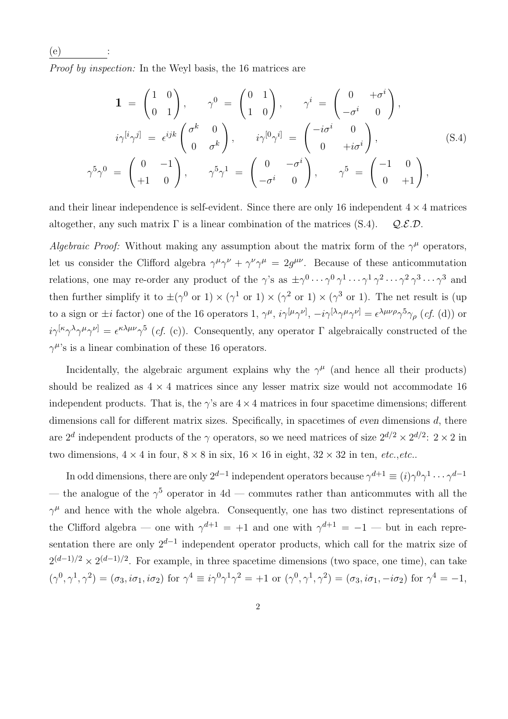(e) : Proof by inspection: In the Weyl basis, the 16 matrices are

$$
\mathbf{1} = \begin{pmatrix} 1 & 0 \\ 0 & 1 \end{pmatrix}, \qquad \gamma^0 = \begin{pmatrix} 0 & 1 \\ 1 & 0 \end{pmatrix}, \qquad \gamma^i = \begin{pmatrix} 0 & +\sigma^i \\ -\sigma^i & 0 \end{pmatrix},
$$

$$
i\gamma^{[i}\gamma^{j]} = \epsilon^{ijk} \begin{pmatrix} \sigma^k & 0 \\ 0 & \sigma^k \end{pmatrix}, \qquad i\gamma^{[0}\gamma^{i]} = \begin{pmatrix} -i\sigma^i & 0 \\ 0 & +i\sigma^i \end{pmatrix},
$$

$$
\gamma^5\gamma^0 = \begin{pmatrix} 0 & -1 \\ +1 & 0 \end{pmatrix}, \qquad \gamma^5\gamma^1 = \begin{pmatrix} 0 & -\sigma^i \\ -\sigma^i & 0 \end{pmatrix}, \qquad \gamma^5 = \begin{pmatrix} -1 & 0 \\ 0 & +1 \end{pmatrix},
$$
 (S.4)

and their linear independence is self-evident. Since there are only 16 independent  $4 \times 4$  matrices altogether, any such matrix  $\Gamma$  is a linear combination of the matrices (S.4).  $Q.E.D.$ 

Algebraic Proof: Without making any assumption about the matrix form of the  $\gamma^{\mu}$  operators, let us consider the Clifford algebra  $\gamma^{\mu}\gamma^{\nu} + \gamma^{\nu}\gamma^{\mu} = 2g^{\mu\nu}$ . Because of these anticommutation relations, one may re-order any product of the  $\gamma$ 's as  $\pm \gamma^0 \cdots \gamma^0 \gamma^1 \cdots \gamma^1 \gamma^2 \cdots \gamma^2 \gamma^3 \cdots \gamma^3$  and then further simplify it to  $\pm(\gamma^0 \text{ or } 1) \times (\gamma^1 \text{ or } 1) \times (\gamma^2 \text{ or } 1) \times (\gamma^3 \text{ or } 1)$ . The net result is (up to a sign or  $\pm i$  factor) one of the 16 operators 1,  $\gamma^{\mu}$ ,  $i\gamma^{[\mu}\gamma^{\nu]}$ ,  $-i\gamma^{[\lambda}\gamma^{\mu}\gamma^{\nu]} = \epsilon^{\lambda\mu\nu\rho}\gamma^{5}\gamma_{\rho}$  (*cf.* (d)) or  $i\gamma^{[\kappa}\gamma^{\lambda}\gamma^{\mu}\gamma^{\nu]} = \epsilon^{\kappa\lambda\mu\nu}\gamma^{5}$  (*cf.* (c)). Consequently, any operator  $\Gamma$  algebraically constructed of the  $\gamma^{\mu}$ 's is a linear combination of these 16 operators.

Incidentally, the algebraic argument explains why the  $\gamma^{\mu}$  (and hence all their products) should be realized as  $4 \times 4$  matrices since any lesser matrix size would not accommodate 16 independent products. That is, the  $\gamma$ 's are  $4 \times 4$  matrices in four spacetime dimensions; different dimensions call for different matrix sizes. Specifically, in spacetimes of even dimensions d, there are  $2^d$  independent products of the  $\gamma$  operators, so we need matrices of size  $2^{d/2} \times 2^{d/2}$ :  $2 \times 2$  in two dimensions,  $4 \times 4$  in four,  $8 \times 8$  in six,  $16 \times 16$  in eight,  $32 \times 32$  in ten, etc., etc..

In odd dimensions, there are only  $2^{d-1}$  independent operators because  $\gamma^{d+1} \equiv (i)\gamma^0\gamma^1\cdots\gamma^{d-1}$ — the analogue of the  $\gamma^5$  operator in 4d — commutes rather than anticommutes with all the  $\gamma^{\mu}$  and hence with the whole algebra. Consequently, one has two distinct representations of the Clifford algebra — one with  $\gamma^{d+1} = +1$  and one with  $\gamma^{d+1} = -1$  — but in each representation there are only  $2^{d-1}$  independent operator products, which call for the matrix size of  $2^{(d-1)/2} \times 2^{(d-1)/2}$ . For example, in three spacetime dimensions (two space, one time), can take  $(\gamma^0, \gamma^1, \gamma^2) = (\sigma_3, i\sigma_1, i\sigma_2)$  for  $\gamma^4 \equiv i\gamma^0\gamma^1\gamma^2 = +1$  or  $(\gamma^0, \gamma^1, \gamma^2) = (\sigma_3, i\sigma_1, -i\sigma_2)$  for  $\gamma^4 = -1$ ,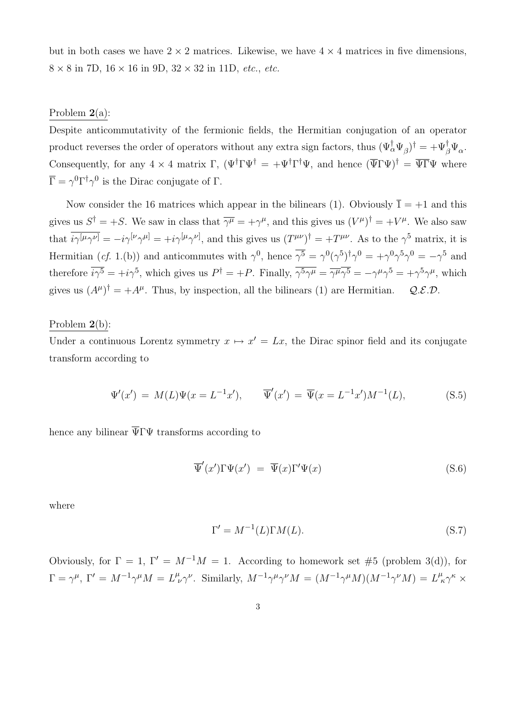|                                                                             |  | but in both cases we have $2 \times 2$ matrices. Likewise, we have $4 \times 4$ matrices in five dimensions, |
|-----------------------------------------------------------------------------|--|--------------------------------------------------------------------------------------------------------------|
| $8 \times 8$ in 7D, $16 \times 16$ in 9D, $32 \times 32$ in 11D, etc., etc. |  |                                                                                                              |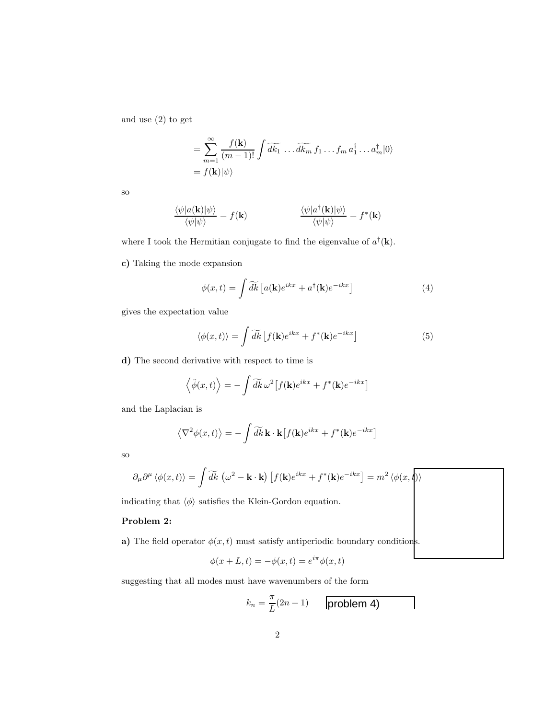## a) The field operator  $\phi(x, t)$  must satisfy antiperiodic boundary conditions.

$$
\phi(x+L,t) = -\phi(x,t) = e^{i\pi}\phi(x,t)
$$

## suggesting that all modes must have wavenumbers of the form

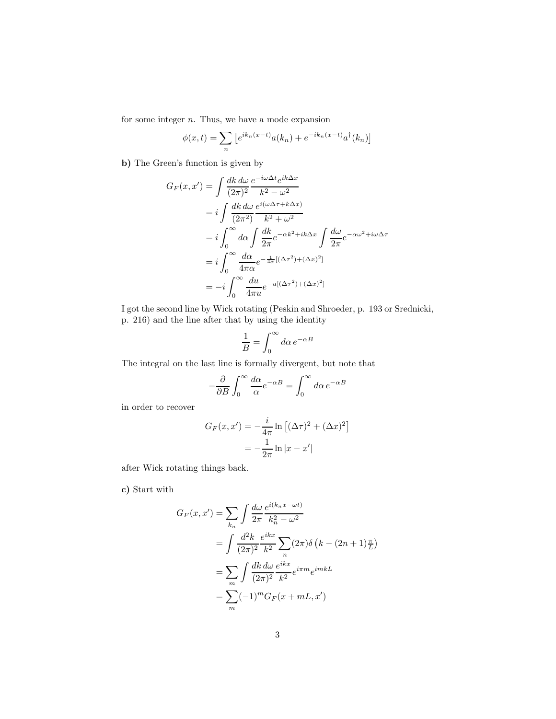for some integer  $n$ . Thus, we have a mode expansion

$$
\phi(x,t) = \sum_{n} \left[ e^{ik_n(x-t)} a(k_n) + e^{-ik_n(x-t)} a^{\dagger}(k_n) \right]
$$

b) The Green's function is given by

$$
G_F(x, x') = \int \frac{dk \, d\omega}{(2\pi)^2} \frac{e^{-i\omega \Delta t} e^{ik\Delta x}}{k^2 - \omega^2}
$$
  
=  $i \int \frac{dk \, d\omega}{(2\pi^2)} \frac{e^{i(\omega \Delta \tau + k\Delta x)}}{k^2 + \omega^2}$   
=  $i \int_0^\infty d\alpha \int \frac{dk}{2\pi} e^{-\alpha k^2 + ik\Delta x} \int \frac{d\omega}{2\pi} e^{-\alpha \omega^2 + i\omega \Delta \tau}$   
=  $i \int_0^\infty \frac{d\alpha}{4\pi \alpha} e^{-\frac{1}{4\alpha}[(\Delta \tau^2) + (\Delta x)^2]}$   
=  $-i \int_0^\infty \frac{du}{4\pi u} e^{-u[(\Delta \tau^2) + (\Delta x)^2]}$ 

I got the second line by Wick rotating (Peskin and Shroeder, p. 193 or Srednicki, p. 216) and the line after that by using the identity

$$
\frac{1}{B} = \int_0^\infty d\alpha \, e^{-\alpha B}
$$

The integral on the last line is formally divergent, but note that

$$
-\frac{\partial}{\partial B} \int_0^\infty \frac{d\alpha}{\alpha} e^{-\alpha B} = \int_0^\infty d\alpha \, e^{-\alpha B}
$$

in order to recover

$$
G_F(x, x') = -\frac{i}{4\pi} \ln \left[ (\Delta \tau)^2 + (\Delta x)^2 \right]
$$

$$
= -\frac{1}{2\pi} \ln |x - x'|
$$

after Wick rotating things back.

c) Start with

$$
G_F(x, x') = \sum_{k_n} \int \frac{d\omega}{2\pi} \frac{e^{i(k_n x - \omega t)}}{k_n^2 - \omega^2}
$$
  
= 
$$
\int \frac{d^2k}{(2\pi)^2} \frac{e^{ikx}}{k^2} \sum_n (2\pi) \delta \left(k - (2n + 1)\frac{\pi}{L}\right)
$$
  
= 
$$
\sum_m \int \frac{dk \, d\omega}{(2\pi)^2} \frac{e^{ikx}}{k^2} e^{i\pi m} e^{imkL}
$$
  
= 
$$
\sum_m (-1)^m G_F(x + mL, x')
$$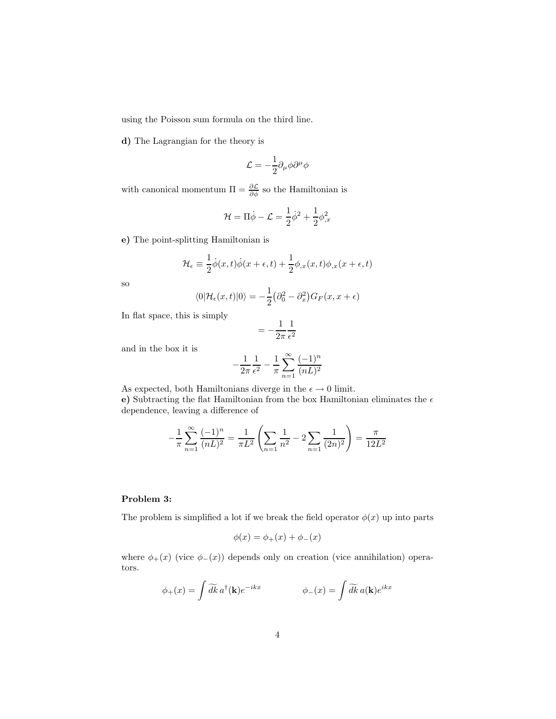using the Poisson sum formula on the third line.

d) The Lagrangian for the theory is

$$
{\cal L}=-\frac{1}{2}\partial_\mu\phi\partial^\mu\phi
$$

with canonical momentum  $\Pi = \frac{\partial \mathcal{L}}{\partial \phi}$  so the Hamiltonian is

$$
\mathcal{H} = \Pi \dot{\phi} - \mathcal{L} = \frac{1}{2} \dot{\phi}^2 + \frac{1}{2} \phi_{,x}^2
$$

e) The point-splitting Hamiltonian is

$$
\mathcal{H}_{\epsilon} \equiv \frac{1}{2}\dot{\phi}(x,t)\dot{\phi}(x+\epsilon,t) + \frac{1}{2}\phi_{,x}(x,t)\phi_{,x}(x+\epsilon,t)
$$

so

$$
\langle 0|\mathcal{H}_{\epsilon}(x,t)|0\rangle = -\frac{1}{2}(\partial_0^2 - \partial_x^2)G_F(x, x + \epsilon)
$$

In flat space, this is simply

$$
=-\frac{1}{2\pi}\frac{1}{\epsilon^2}
$$

and in the box it is

$$
-\frac{1}{2\pi} \frac{1}{\epsilon^2} - \frac{1}{\pi} \sum_{n=1}^{\infty} \frac{(-1)^n}{(nL)^2}
$$

As expected, both Hamiltonians diverge in the  $\epsilon \to 0$  limit.

e) Subtracting the flat Hamiltonian from the box Hamiltonian eliminates the  $\epsilon$ dependence, leaving a difference of

$$
-\frac{1}{\pi} \sum_{n=1}^{\infty} \frac{(-1)^n}{(nL)^2} = \frac{1}{\pi L^2} \left( \sum_{n=1}^{\infty} \frac{1}{n^2} - 2 \sum_{n=1}^{\infty} \frac{1}{(2n)^2} \right) = \frac{\pi}{12L^2}
$$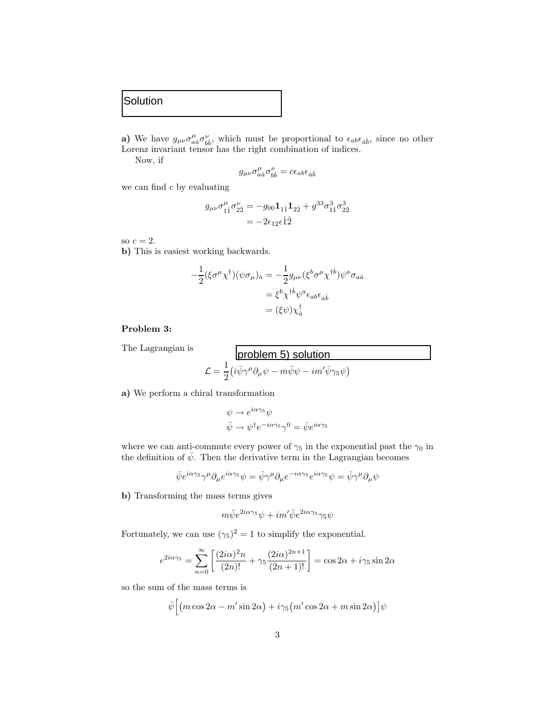The Lagrangian is

## problem 5) solution

$$
\mathcal{L} = \frac{1}{2} \left( i \bar{\psi} \gamma^{\mu} \partial_{\mu} \psi - m \bar{\psi} \psi - i m' \bar{\psi} \gamma_{5} \psi \right)
$$

a) We perform a chiral transformation

$$
\psi \to e^{i\alpha\gamma_5}\psi
$$
  

$$
\bar{\psi} \to \psi^{\dagger}e^{-i\alpha\gamma_5}\gamma^0 = \bar{\psi}e^{i\alpha\gamma_5}
$$

where we can anti-commute every power of  $\gamma_5$  in the exponential past the  $\gamma_0$  in the definition of  $\bar{\psi}$ . Then the derivative term in the Lagrangian becomes

$$
\bar{\psi}e^{i\alpha\gamma_5}\gamma^{\mu}\partial_{\mu}e^{i\alpha\gamma_5}\psi = \bar{\psi}\gamma^{\mu}\partial_{\mu}e^{-i\alpha\gamma_5}e^{i\alpha\gamma_5}\psi = \bar{\psi}\gamma^{\mu}\partial_{\mu}\psi
$$

b) Transforming the mass terms gives

$$
m\bar{\psi}e^{2i\alpha\gamma_5}\psi + im'\bar{\psi}e^{2i\alpha\gamma_5}\gamma_5\psi
$$

Fortunately, we can use  $(\gamma_5)^2 = 1$  to simplify the exponential.

$$
e^{2i\alpha\gamma_5} = \sum_{n=0}^{\infty} \left[ \frac{(2i\alpha)^2 n}{(2n)!} + \gamma_5 \frac{(2i\alpha)^{2n+1}}{(2n+1)!} \right] = \cos 2\alpha + i\gamma_5 \sin 2\alpha
$$

so the sum of the mass terms is

$$
\bar{\psi}\Big[\big(m\cos 2\alpha - m'\sin 2\alpha\big) + i\gamma_5\big(m'\cos 2\alpha + m\sin 2\alpha\big)\big]\psi
$$